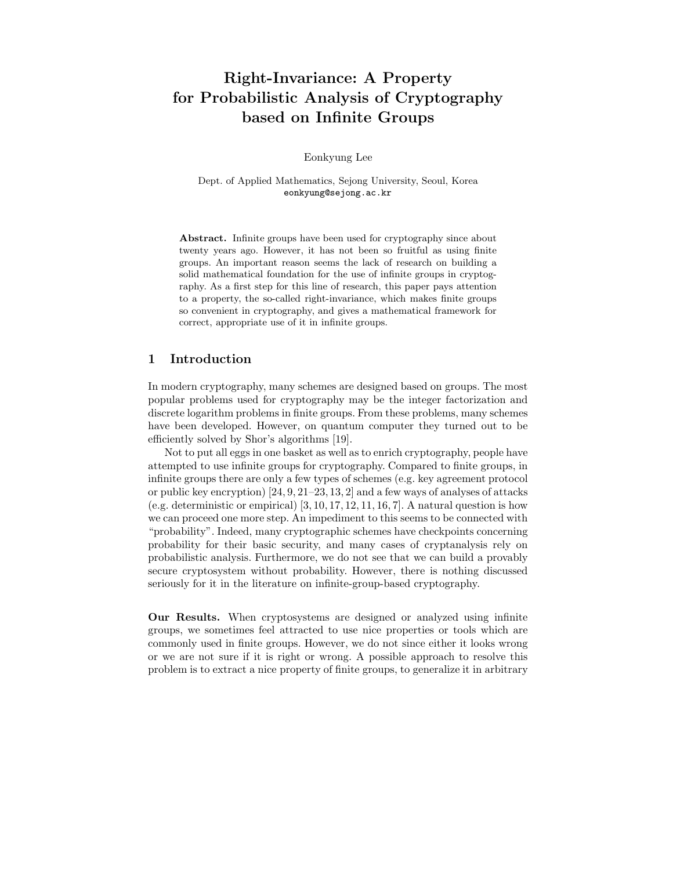# Right-Invariance: A Property for Probabilistic Analysis of Cryptography based on Infinite Groups

Eonkyung Lee

Dept. of Applied Mathematics, Sejong University, Seoul, Korea eonkyung@sejong.ac.kr

Abstract. Infinite groups have been used for cryptography since about twenty years ago. However, it has not been so fruitful as using finite groups. An important reason seems the lack of research on building a solid mathematical foundation for the use of infinite groups in cryptography. As a first step for this line of research, this paper pays attention to a property, the so-called right-invariance, which makes finite groups so convenient in cryptography, and gives a mathematical framework for correct, appropriate use of it in infinite groups.

# 1 Introduction

In modern cryptography, many schemes are designed based on groups. The most popular problems used for cryptography may be the integer factorization and discrete logarithm problems in finite groups. From these problems, many schemes have been developed. However, on quantum computer they turned out to be efficiently solved by Shor's algorithms [19].

Not to put all eggs in one basket as well as to enrich cryptography, people have attempted to use infinite groups for cryptography. Compared to finite groups, in infinite groups there are only a few types of schemes (e.g. key agreement protocol or public key encryption)  $[24, 9, 21-23, 13, 2]$  and a few ways of analyses of attacks (e.g. deterministic or empirical)  $[3, 10, 17, 12, 11, 16, 7]$ . A natural question is how we can proceed one more step. An impediment to this seems to be connected with "probability". Indeed, many cryptographic schemes have checkpoints concerning probability for their basic security, and many cases of cryptanalysis rely on probabilistic analysis. Furthermore, we do not see that we can build a provably secure cryptosystem without probability. However, there is nothing discussed seriously for it in the literature on infinite-group-based cryptography.

Our Results. When cryptosystems are designed or analyzed using infinite groups, we sometimes feel attracted to use nice properties or tools which are commonly used in finite groups. However, we do not since either it looks wrong or we are not sure if it is right or wrong. A possible approach to resolve this problem is to extract a nice property of finite groups, to generalize it in arbitrary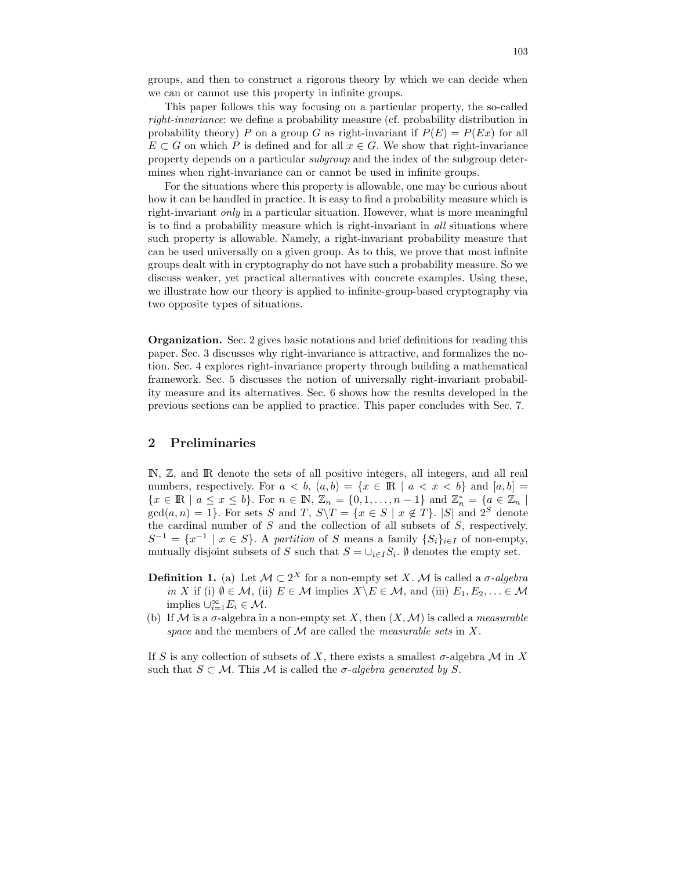groups, and then to construct a rigorous theory by which we can decide when we can or cannot use this property in infinite groups.

This paper follows this way focusing on a particular property, the so-called right-invariance: we define a probability measure (cf. probability distribution in probability theory) P on a group G as right-invariant if  $P(E) = P(Ex)$  for all  $E \subset G$  on which P is defined and for all  $x \in G$ . We show that right-invariance property depends on a particular subgroup and the index of the subgroup determines when right-invariance can or cannot be used in infinite groups.

For the situations where this property is allowable, one may be curious about how it can be handled in practice. It is easy to find a probability measure which is right-invariant *only* in a particular situation. However, what is more meaningful is to find a probability measure which is right-invariant in all situations where such property is allowable. Namely, a right-invariant probability measure that can be used universally on a given group. As to this, we prove that most infinite groups dealt with in cryptography do not have such a probability measure. So we discuss weaker, yet practical alternatives with concrete examples. Using these, we illustrate how our theory is applied to infinite-group-based cryptography via two opposite types of situations.

Organization. Sec. 2 gives basic notations and brief definitions for reading this paper. Sec. 3 discusses why right-invariance is attractive, and formalizes the notion. Sec. 4 explores right-invariance property through building a mathematical framework. Sec. 5 discusses the notion of universally right-invariant probability measure and its alternatives. Sec. 6 shows how the results developed in the previous sections can be applied to practice. This paper concludes with Sec. 7.

### 2 Preliminaries

IN, Z, and IR denote the sets of all positive integers, all integers, and all real numbers, respectively. For  $a < b$ ,  $(a, b) = \{x \in \mathbb{R} \mid a < x < b\}$  and  $[a, b] =$  $\{x \in \mathbb{R} \mid a \leq x \leq b\}$ . For  $n \in \mathbb{N}$ ,  $\mathbb{Z}_n = \{0, 1, \ldots, n-1\}$  and  $\mathbb{Z}_n^* = \{a \in \mathbb{Z}_n \mid a \in \mathbb{Z}_n\}$  $gcd(a, n) = 1$ . For sets S and T,  $S \setminus T = \{x \in S \mid x \notin T\}$ . |S| and  $2^S$  denote the cardinal number of  $S$  and the collection of all subsets of  $S$ , respectively.  $S^{-1} = \{x^{-1} \mid x \in S\}$ . A partition of S means a family  $\{S_i\}_{i \in I}$  of non-empty, mutually disjoint subsets of S such that  $S = \bigcup_{i \in I} S_i$ .  $\emptyset$  denotes the empty set.

- **Definition 1.** (a) Let  $\mathcal{M} \subset 2^X$  for a non-empty set X. M is called a  $\sigma$ -algebra in X if (i)  $\emptyset \in \mathcal{M}$ , (ii)  $E \in \mathcal{M}$  implies  $X \backslash E \in \mathcal{M}$ , and (iii)  $E_1, E_2, \ldots \in \mathcal{M}$ implies  $\cup_{i=1}^{\infty} E_i \in \mathcal{M}$ .
- (b) If M is a  $\sigma$ -algebra in a non-empty set X, then  $(X, M)$  is called a *measurable* space and the members of  $\mathcal M$  are called the *measurable sets* in X.

If S is any collection of subsets of X, there exists a smallest  $\sigma$ -algebra M in X such that  $S \subset \mathcal{M}$ . This M is called the  $\sigma$ -algebra generated by S.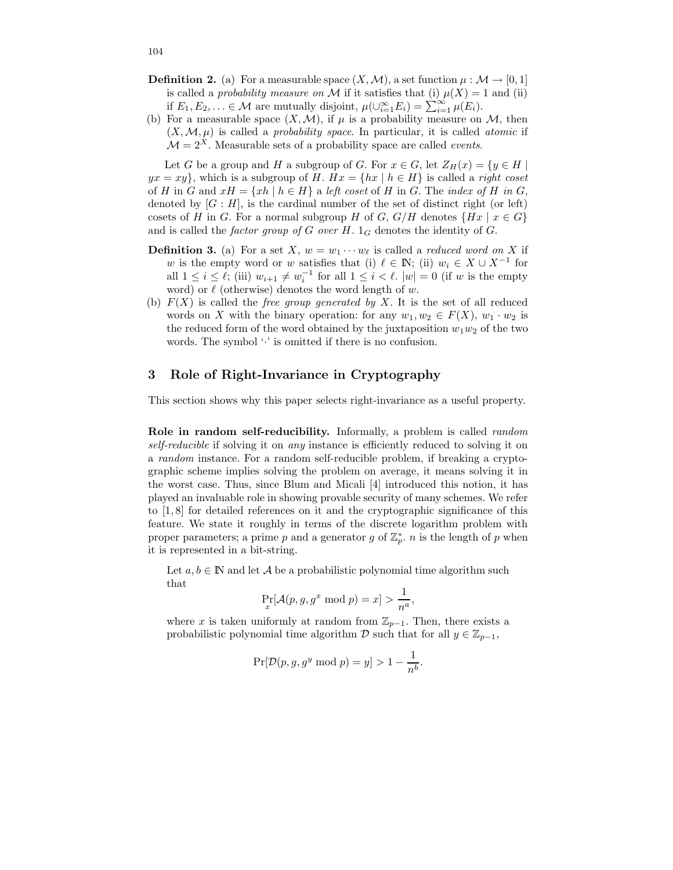- **Definition 2.** (a) For a measurable space  $(X, \mathcal{M})$ , a set function  $\mu : \mathcal{M} \to [0, 1]$ is called a *probability measure on*  $M$  if it satisfies that (i)  $\mu(X) = 1$  and (ii) if  $E_1, E_2, \ldots \in \mathcal{M}$  are mutually disjoint,  $\mu(\cup_{i=1}^{\infty} E_i) = \sum_{i=1}^{\infty} \mu(E_i)$ .
- (b) For a measurable space  $(X, \mathcal{M})$ , if  $\mu$  is a probability measure on  $\mathcal{M}$ , then  $(X, \mathcal{M}, \mu)$  is called a probability space. In particular, it is called atomic if  $\mathcal{M} = 2^X$ . Measurable sets of a probability space are called *events*.

Let G be a group and H a subgroup of G. For  $x \in G$ , let  $Z_H(x) = \{y \in H \mid$  $yx = xy$ , which is a subgroup of H.  $Hx = \{hx \mid h \in H\}$  is called a *right coset* of H in G and  $xH = \{xh \mid h \in H\}$  a left coset of H in G. The index of H in G, denoted by  $[G: H]$ , is the cardinal number of the set of distinct right (or left) cosets of H in G. For a normal subgroup H of G,  $G/H$  denotes  $\{Hx \mid x \in G\}$ and is called the *factor group of G over H.*  $1_G$  denotes the identity of G.

- **Definition 3.** (a) For a set X,  $w = w_1 \cdots w_\ell$  is called a *reduced word on* X if w is the empty word or w satisfies that (i)  $\ell \in \mathbb{N}$ ; (ii)  $w_i \in X \cup X^{-1}$  for all  $1 \leq i \leq \ell$ ; (iii)  $w_{i+1} \neq w_i^{-1}$  for all  $1 \leq i \leq \ell$ .  $|w| = 0$  (if w is the empty word) or  $\ell$  (otherwise) denotes the word length of w.
- (b)  $F(X)$  is called the *free group generated by X*. It is the set of all reduced words on X with the binary operation: for any  $w_1, w_2 \in F(X)$ ,  $w_1 \cdot w_2$  is the reduced form of the word obtained by the juxtaposition  $w_1w_2$  of the two words. The symbol  $\cdot$  is omitted if there is no confusion.

# 3 Role of Right-Invariance in Cryptography

This section shows why this paper selects right-invariance as a useful property.

Role in random self-reducibility. Informally, a problem is called *random* self-reducible if solving it on *any* instance is efficiently reduced to solving it on a random instance. For a random self-reducible problem, if breaking a cryptographic scheme implies solving the problem on average, it means solving it in the worst case. Thus, since Blum and Micali [4] introduced this notion, it has played an invaluable role in showing provable security of many schemes. We refer to [1, 8] for detailed references on it and the cryptographic significance of this feature. We state it roughly in terms of the discrete logarithm problem with proper parameters; a prime p and a generator g of  $\mathbb{Z}_p^*$ , n is the length of p when it is represented in a bit-string.

Let  $a, b \in \mathbb{N}$  and let A be a probabilistic polynomial time algorithm such that

$$
\Pr_x[\mathcal{A}(p, g, g^x \bmod p) = x] > \frac{1}{n^a},
$$

where x is taken uniformly at random from  $\mathbb{Z}_{p-1}$ . Then, there exists a probabilistic polynomial time algorithm  $\mathcal D$  such that for all  $y \in \mathbb{Z}_{p-1}$ ,

$$
\Pr[\mathcal{D}(p,g,g^y \bmod p) = y] > 1 - \frac{1}{n^b}.
$$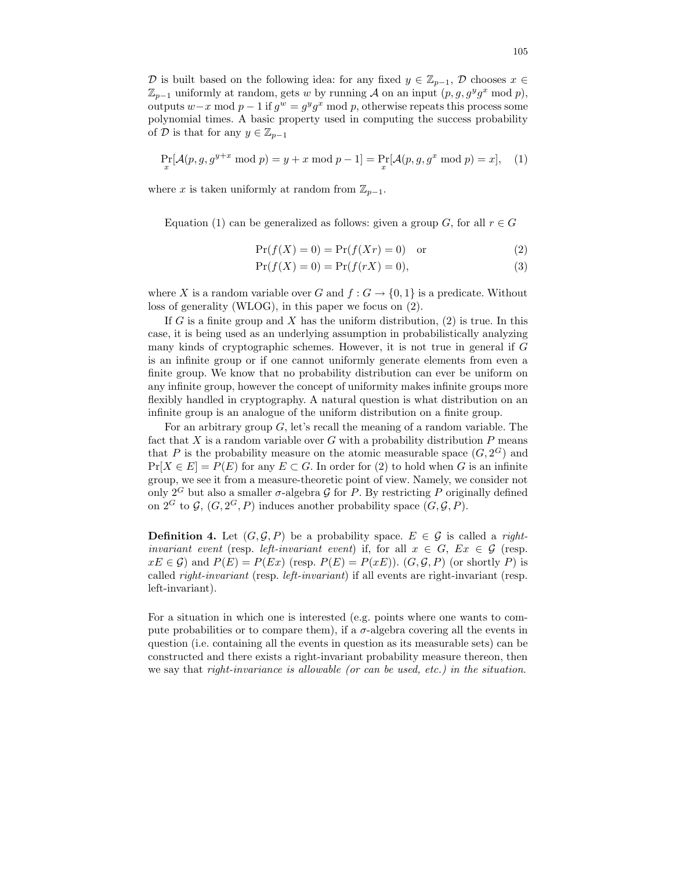D is built based on the following idea: for any fixed  $y \in \mathbb{Z}_{p-1}$ , D chooses  $x \in$  $\mathbb{Z}_{p-1}$  uniformly at random, gets w by running A on an input  $(p, g, g^y g^x \mod p)$ , outputs  $w-x \mod p-1$  if  $g^w = g^y g^x \mod p$ , otherwise repeats this process some polynomial times. A basic property used in computing the success probability of D is that for any  $y \in \mathbb{Z}_{p-1}$ 

$$
\Pr_x[\mathcal{A}(p, g, g^{y+x} \bmod p) = y + x \bmod p - 1] = \Pr_x[\mathcal{A}(p, g, g^x \bmod p) = x], \quad (1)
$$

where x is taken uniformly at random from  $\mathbb{Z}_{p-1}$ .

Equation (1) can be generalized as follows: given a group G, for all  $r \in G$ 

$$
Pr(f(X) = 0) = Pr(f(Xr) = 0) \quad \text{or} \tag{2}
$$

$$
Pr(f(X) = 0) = Pr(f(rX) = 0),
$$
\n(3)

where X is a random variable over G and  $f: G \to \{0,1\}$  is a predicate. Without loss of generality (WLOG), in this paper we focus on (2).

If G is a finite group and X has the uniform distribution,  $(2)$  is true. In this case, it is being used as an underlying assumption in probabilistically analyzing many kinds of cryptographic schemes. However, it is not true in general if G is an infinite group or if one cannot uniformly generate elements from even a finite group. We know that no probability distribution can ever be uniform on any infinite group, however the concept of uniformity makes infinite groups more flexibly handled in cryptography. A natural question is what distribution on an infinite group is an analogue of the uniform distribution on a finite group.

For an arbitrary group  $G$ , let's recall the meaning of a random variable. The fact that  $X$  is a random variable over  $G$  with a probability distribution  $P$  means that P is the probability measure on the atomic measurable space  $(G, 2^G)$  and  $Pr[X \in E] = P(E)$  for any  $E \subset G$ . In order for (2) to hold when G is an infinite group, we see it from a measure-theoretic point of view. Namely, we consider not only  $2^G$  but also a smaller  $\sigma$ -algebra  $\mathcal G$  for P. By restricting P originally defined on  $2^G$  to  $\mathcal{G}, (G, 2^G, P)$  induces another probability space  $(G, \mathcal{G}, P)$ .

**Definition 4.** Let  $(G, \mathcal{G}, P)$  be a probability space.  $E \in \mathcal{G}$  is called a rightinvariant event (resp. left-invariant event) if, for all  $x \in G$ ,  $Ex \in \mathcal{G}$  (resp.  $xE \in \mathcal{G}$  and  $P(E) = P(EX)$  (resp.  $P(E) = P(xE)$ ).  $(G, \mathcal{G}, P)$  (or shortly P) is called right-invariant (resp. left-invariant) if all events are right-invariant (resp. left-invariant).

For a situation in which one is interested (e.g. points where one wants to compute probabilities or to compare them), if a  $\sigma$ -algebra covering all the events in question (i.e. containing all the events in question as its measurable sets) can be constructed and there exists a right-invariant probability measure thereon, then we say that *right-invariance is allowable (or can be used, etc.)* in the *situation*.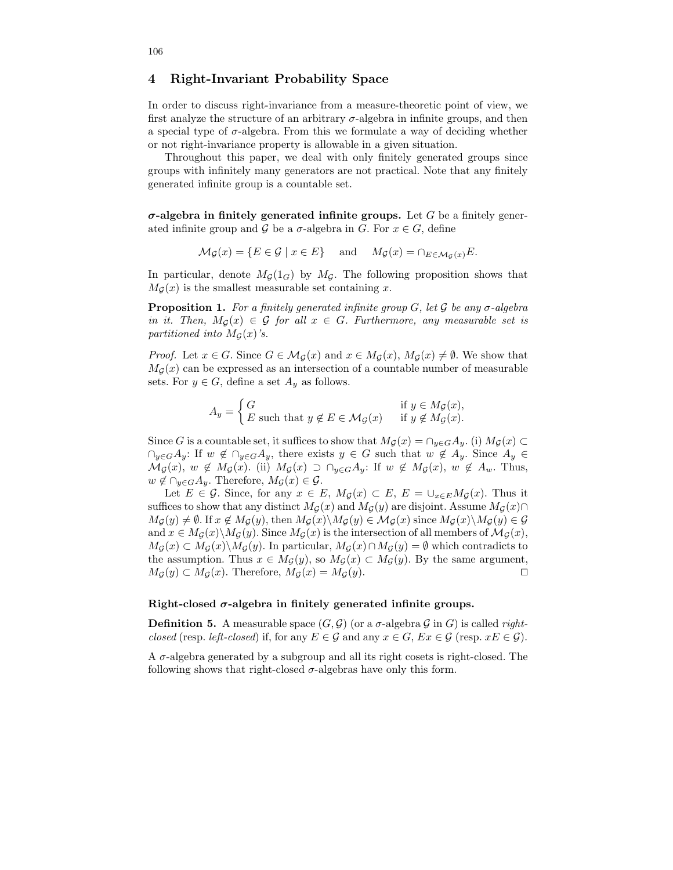### 4 Right-Invariant Probability Space

In order to discuss right-invariance from a measure-theoretic point of view, we first analyze the structure of an arbitrary  $\sigma$ -algebra in infinite groups, and then a special type of  $\sigma$ -algebra. From this we formulate a way of deciding whether or not right-invariance property is allowable in a given situation.

Throughout this paper, we deal with only finitely generated groups since groups with infinitely many generators are not practical. Note that any finitely generated infinite group is a countable set.

 $\sigma$ -algebra in finitely generated infinite groups. Let G be a finitely generated infinite group and G be a  $\sigma$ -algebra in G. For  $x \in G$ , define

$$
\mathcal{M}_{\mathcal{G}}(x) = \{ E \in \mathcal{G} \mid x \in E \} \quad \text{and} \quad M_{\mathcal{G}}(x) = \cap_{E \in \mathcal{M}_{\mathcal{G}}(x)} E.
$$

In particular, denote  $M_G(1_G)$  by  $M_G$ . The following proposition shows that  $M_G(x)$  is the smallest measurable set containing x.

**Proposition 1.** For a finitely generated infinite group G, let G be any  $\sigma$ -algebra in it. Then,  $M_G(x) \in \mathcal{G}$  for all  $x \in G$ . Furthermore, any measurable set is partitioned into  $M_G(x)$ 's.

*Proof.* Let  $x \in G$ . Since  $G \in \mathcal{M}_{\mathcal{G}}(x)$  and  $x \in M_{\mathcal{G}}(x)$ ,  $M_{\mathcal{G}}(x) \neq \emptyset$ . We show that  $M<sub>G</sub>(x)$  can be expressed as an intersection of a countable number of measurable sets. For  $y \in G$ , define a set  $A_y$  as follows.

$$
A_y = \begin{cases} G & \text{if } y \in M_{\mathcal{G}}(x), \\ E \text{ such that } y \notin E \in M_{\mathcal{G}}(x) & \text{if } y \notin M_{\mathcal{G}}(x). \end{cases}
$$

Since G is a countable set, it suffices to show that  $M_{\mathcal{G}}(x) = \cap_{y \in G} A_y$ . (i)  $M_{\mathcal{G}}(x) \subset$  $\cap_{y\in G}A_y$ : If  $w \notin \cap_{y\in G}A_y$ , there exists  $y \in G$  such that  $w \notin A_y$ . Since  $A_y \in G$  $\mathcal{M}_{\mathcal{G}}(x), w \notin M_{\mathcal{G}}(x)$ . (ii)  $M_{\mathcal{G}}(x) \supset \bigcap_{y \in G} A_y$ : If  $w \notin M_{\mathcal{G}}(x), w \notin A_w$ . Thus,  $w \notin \bigcap_{y \in G} A_y$ . Therefore,  $M_{\mathcal{G}}(x) \in \mathcal{G}$ .

Let  $E \in \mathcal{G}$ . Since, for any  $x \in E$ ,  $M_{\mathcal{G}}(x) \subset E$ ,  $E = \bigcup_{x \in E} M_{\mathcal{G}}(x)$ . Thus it suffices to show that any distinct  $M_{\mathcal{G}}(x)$  and  $M_{\mathcal{G}}(y)$  are disjoint. Assume  $M_{\mathcal{G}}(x) \cap$  $M_G(y) \neq \emptyset$ . If  $x \notin M_G(y)$ , then  $M_G(x) \backslash M_G(y) \in M_G(x)$  since  $M_G(x) \backslash M_G(y) \in \mathcal{G}$ and  $x \in M_G(x) \backslash M_G(y)$ . Since  $M_G(x)$  is the intersection of all members of  $\mathcal{M}_G(x)$ ,  $M_{\mathcal{G}}(x) \subset M_{\mathcal{G}}(x) \backslash M_{\mathcal{G}}(y)$ . In particular,  $M_{\mathcal{G}}(x) \cap M_{\mathcal{G}}(y) = \emptyset$  which contradicts to the assumption. Thus  $x \in M_G(y)$ , so  $M_G(x) \subset M_G(y)$ . By the same argument,  $M_{\mathcal{G}}(y) \subset M_{\mathcal{G}}(x)$ . Therefore,  $M_{\mathcal{G}}(x) = M_{\mathcal{G}}(y)$ .

#### Right-closed  $\sigma$ -algebra in finitely generated infinite groups.

**Definition 5.** A measurable space  $(G, \mathcal{G})$  (or a  $\sigma$ -algebra G in G) is called *right*closed (resp. left-closed) if, for any  $E \in \mathcal{G}$  and any  $x \in G$ ,  $Ex \in \mathcal{G}$  (resp.  $xE \in \mathcal{G}$ ).

A σ-algebra generated by a subgroup and all its right cosets is right-closed. The following shows that right-closed  $\sigma$ -algebras have only this form.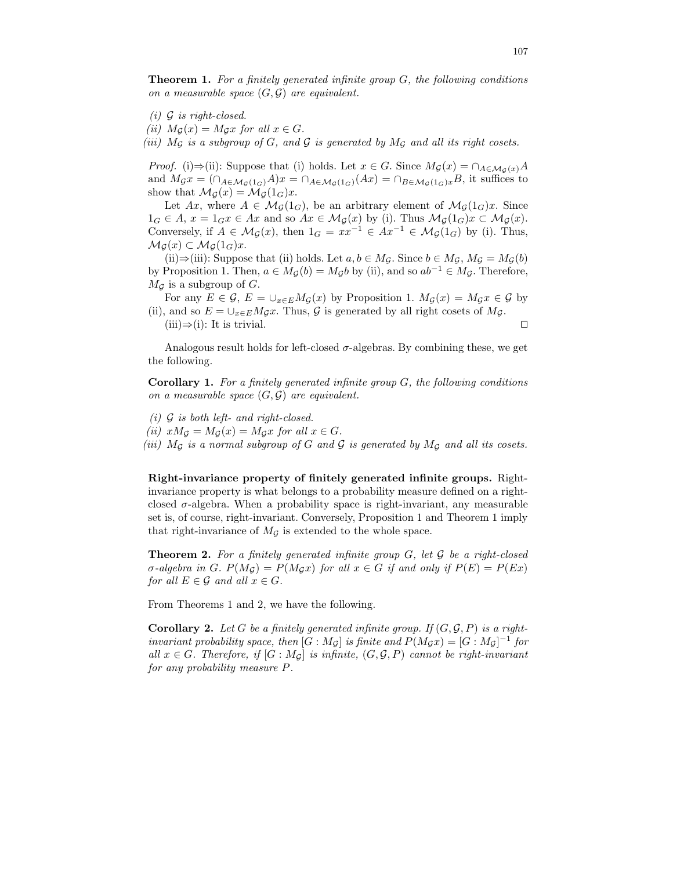**Theorem 1.** For a finitely generated infinite group  $G$ , the following conditions on a measurable space  $(G, \mathcal{G})$  are equivalent.

- $(i)$  G is right-closed.
- (ii)  $M_G(x) = M_Gx$  for all  $x \in G$ .

(iii)  $M_{\mathcal{G}}$  is a subgroup of  $G$ , and  $\mathcal{G}$  is generated by  $M_{\mathcal{G}}$  and all its right cosets.

*Proof.* (i)⇒(ii): Suppose that (i) holds. Let  $x \in G$ . Since  $M_{\mathcal{G}}(x) = \cap_{A \in \mathcal{M}_{\mathcal{G}}(x)} A$ and  $M_{\mathcal{G}}x = (\bigcap_{A \in \mathcal{M}_{\mathcal{G}}(1_G)} A)x = \bigcap_{A \in \mathcal{M}_{\mathcal{G}}(1_G)} (Ax) = \bigcap_{B \in \mathcal{M}_{\mathcal{G}}(1_G)} xB$ , it suffices to show that  $\mathcal{M}_{\mathcal{G}}(x) = \mathcal{M}_{\mathcal{G}}(1_G)x$ .

Let  $Ax$ , where  $A \in \mathcal{M}_{\mathcal{G}}(1_G)$ , be an arbitrary element of  $\mathcal{M}_{\mathcal{G}}(1_G)x$ . Since  $1_G \in A$ ,  $x = 1_G x \in Ax$  and so  $Ax \in \mathcal{M}_{\mathcal{G}}(x)$  by (i). Thus  $\mathcal{M}_{\mathcal{G}}(1_G)x \subset \mathcal{M}_{\mathcal{G}}(x)$ . Conversely, if  $A \in \mathcal{M}_{\mathcal{G}}(x)$ , then  $1_G = xx^{-1} \in Ax^{-1} \in \mathcal{M}_{\mathcal{G}}(1_G)$  by (i). Thus,  $\mathcal{M}_{\mathcal{G}}(x) \subset \mathcal{M}_{\mathcal{G}}(1_G)x.$ 

(ii)⇒(iii): Suppose that (ii) holds. Let  $a, b \in M_{\mathcal{G}}$ . Since  $b \in M_{\mathcal{G}}$ ,  $M_{\mathcal{G}} = M_{\mathcal{G}}(b)$ by Proposition 1. Then,  $a \in M_{\mathcal{G}}(b) = M_{\mathcal{G}}b$  by (ii), and so  $ab^{-1} \in M_{\mathcal{G}}$ . Therefore,  $M_{\mathcal{G}}$  is a subgroup of  $G$ .

For any  $E \in \mathcal{G}, E = \bigcup_{x \in E} M_{\mathcal{G}}(x)$  by Proposition 1.  $M_{\mathcal{G}}(x) = M_{\mathcal{G}}x \in \mathcal{G}$  by (ii), and so  $E = \bigcup_{x \in E} M_{\mathcal{G}} x$ . Thus,  $\mathcal{G}$  is generated by all right cosets of  $M_{\mathcal{G}}$ . (iii)⇒(i): It is trivial.  $\Box$ 

Analogous result holds for left-closed  $\sigma$ -algebras. By combining these, we get the following.

**Corollary 1.** For a finitely generated infinite group  $G$ , the following conditions on a measurable space  $(G, \mathcal{G})$  are equivalent.

- (i)  $\mathcal G$  is both left- and right-closed.
- (ii)  $xM_{\mathcal{G}} = M_{\mathcal{G}}(x) = M_{\mathcal{G}}x$  for all  $x \in G$ .
- (iii)  $M_{\mathcal{G}}$  is a normal subgroup of G and  $\mathcal{G}$  is generated by  $M_{\mathcal{G}}$  and all its cosets.

Right-invariance property of finitely generated infinite groups. Rightinvariance property is what belongs to a probability measure defined on a rightclosed  $\sigma$ -algebra. When a probability space is right-invariant, any measurable set is, of course, right-invariant. Conversely, Proposition 1 and Theorem 1 imply that right-invariance of  $M_{\mathcal{G}}$  is extended to the whole space.

**Theorem 2.** For a finitely generated infinite group  $G$ , let  $\mathcal G$  be a right-closed σ-algebra in G.  $P(M_G) = P(M_Gx)$  for all  $x \in G$  if and only if  $P(E) = P(EX)$ for all  $E \in \mathcal{G}$  and all  $x \in G$ .

From Theorems 1 and 2, we have the following.

**Corollary 2.** Let G be a finitely generated infinite group. If  $(G, \mathcal{G}, P)$  is a rightinvariant probability space, then  $[G : M_{\mathcal{G}}]$  is finite and  $P(M_{\mathcal{G}}x) = [G : M_{\mathcal{G}}]^{-1}$  for all  $x \in G$ . Therefore, if  $[G : M_G]$  is infinite,  $(G, \mathcal{G}, P)$  cannot be right-invariant for any probability measure P.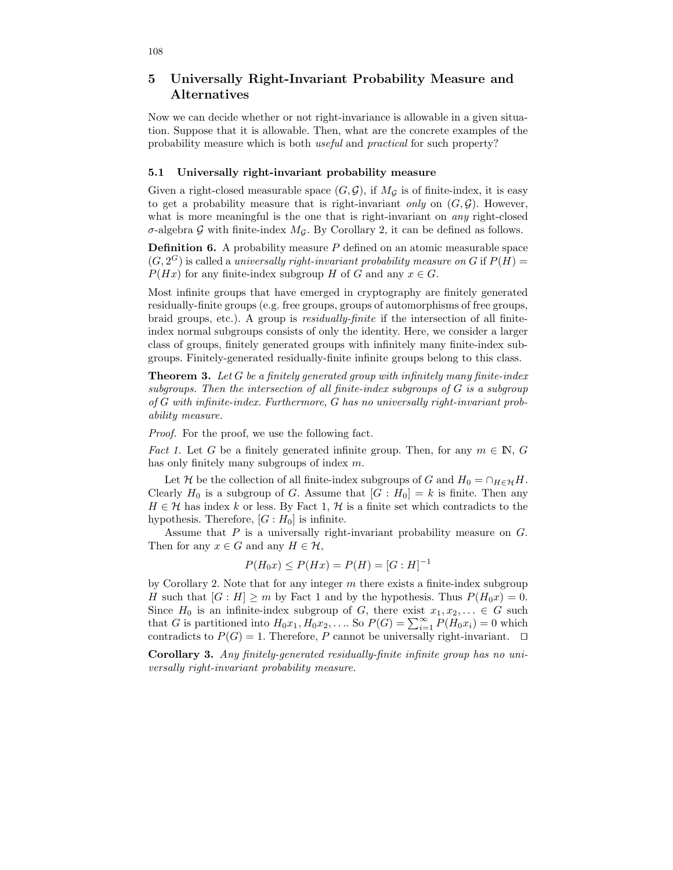# 5 Universally Right-Invariant Probability Measure and Alternatives

Now we can decide whether or not right-invariance is allowable in a given situation. Suppose that it is allowable. Then, what are the concrete examples of the probability measure which is both useful and practical for such property?

#### 5.1 Universally right-invariant probability measure

Given a right-closed measurable space  $(G, \mathcal{G})$ , if  $M_{\mathcal{G}}$  is of finite-index, it is easy to get a probability measure that is right-invariant only on  $(G, \mathcal{G})$ . However, what is more meaningful is the one that is right-invariant on *any* right-closed  $\sigma$ -algebra G with finite-index  $M<sub>G</sub>$ . By Corollary 2, it can be defined as follows.

**Definition 6.** A probability measure  $P$  defined on an atomic measurable space  $(G, 2^G)$  is called a universally right-invariant probability measure on G if  $P(H)$  =  $P(Hx)$  for any finite-index subgroup H of G and any  $x \in G$ .

Most infinite groups that have emerged in cryptography are finitely generated residually-finite groups (e.g. free groups, groups of automorphisms of free groups, braid groups, etc.). A group is residually-finite if the intersection of all finiteindex normal subgroups consists of only the identity. Here, we consider a larger class of groups, finitely generated groups with infinitely many finite-index subgroups. Finitely-generated residually-finite infinite groups belong to this class.

**Theorem 3.** Let G be a finitely generated group with infinitely many finite-index subgroups. Then the intersection of all finite-index subgroups of G is a subgroup of G with infinite-index. Furthermore, G has no universally right-invariant probability measure.

Proof. For the proof, we use the following fact.

*Fact 1.* Let G be a finitely generated infinite group. Then, for any  $m \in \mathbb{N}$ , G has only finitely many subgroups of index m.

Let H be the collection of all finite-index subgroups of G and  $H_0 = \cap_{H \in \mathcal{H}} H$ . Clearly  $H_0$  is a subgroup of G. Assume that  $[G:H_0] = k$  is finite. Then any  $H \in \mathcal{H}$  has index k or less. By Fact 1,  $\mathcal{H}$  is a finite set which contradicts to the hypothesis. Therefore,  $[G:H_0]$  is infinite.

Assume that  $P$  is a universally right-invariant probability measure on  $G$ . Then for any  $x \in G$  and any  $H \in \mathcal{H}$ ,

$$
P(H_0x) \le P(Hx) = P(H) = [G:H]^{-1}
$$

by Corollary 2. Note that for any integer  $m$  there exists a finite-index subgroup H such that  $[G : H] \ge m$  by Fact 1 and by the hypothesis. Thus  $P(H_0x) = 0$ . Since  $H_0$  is an infinite-index subgroup of G, there exist  $x_1, x_2, \ldots \in G$  such that G is partitioned into  $H_0x_1, H_0x_2, \ldots$  So  $P(G) = \sum_{i=1}^{\infty} P(H_0x_i) = 0$  which contradicts to  $P(G) = 1$ . Therefore, P cannot be universally right-invariant.  $\Box$ 

Corollary 3. Any finitely-generated residually-finite infinite group has no universally right-invariant probability measure.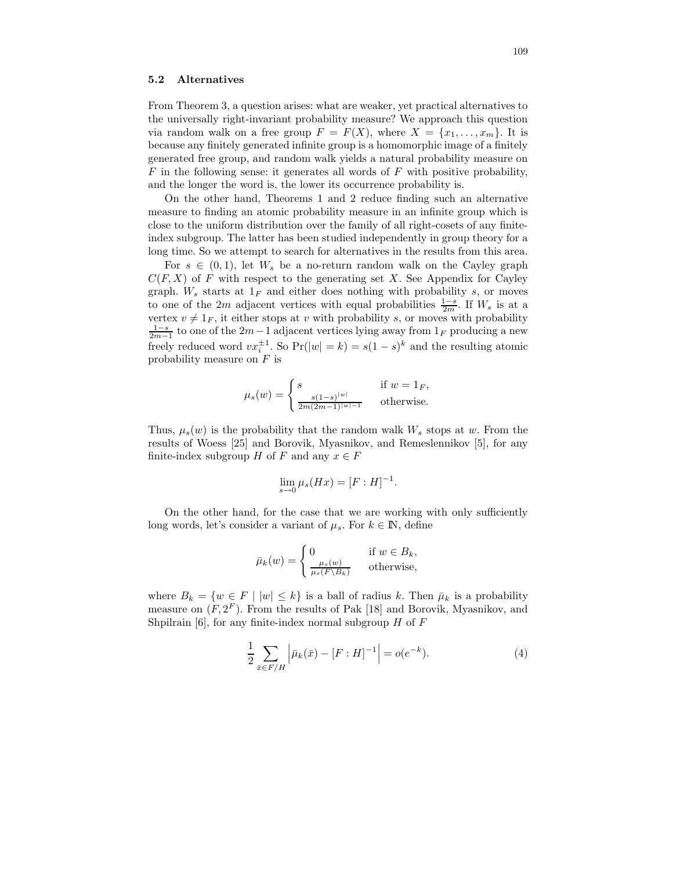#### 5.2 Alternatives

From Theorem 3, a question arises: what are weaker, yet practical alternatives to the universally right-invariant probability measure? We approach this question via random walk on a free group  $F = F(X)$ , where  $X = \{x_1, \ldots, x_m\}$ . It is because any finitely generated infinite group is a homomorphic image of a finitely generated free group, and random walk yields a natural probability measure on  $F$  in the following sense: it generates all words of  $F$  with positive probability, and the longer the word is, the lower its occurrence probability is.

On the other hand, Theorems 1 and 2 reduce finding such an alternative measure to finding an atomic probability measure in an infinite group which is close to the uniform distribution over the family of all right-cosets of any finiteindex subgroup. The latter has been studied independently in group theory for a long time. So we attempt to search for alternatives in the results from this area.

For  $s \in (0,1)$ , let  $W_s$  be a no-return random walk on the Cayley graph  $C(F, X)$  of F with respect to the generating set X. See Appendix for Cayley graph.  $W_s$  starts at  $1_F$  and either does nothing with probability s, or moves to one of the 2m adjacent vertices with equal probabilities  $\frac{1-s}{2m}$ . If  $W_s$  is at a vertex  $v \neq 1<sub>F</sub>$ , it either stops at v with probability s, or moves with probability  $\frac{1-s}{2m-1}$  to one of the 2m−1 adjacent vertices lying away from 1<sub>F</sub> producing a new freely reduced word  $vx_i^{\pm 1}$ . So  $Pr(|w| = k) = s(1 - s)^k$  and the resulting atomic probability measure on  $F$  is

$$
\mu_s(w) = \begin{cases} s & \text{if } w = 1_F, \\ \frac{s(1-s)^{|w|}}{2m(2m-1)^{|w|-1}} & \text{otherwise.} \end{cases}
$$

Thus,  $\mu_s(w)$  is the probability that the random walk  $W_s$  stops at w. From the results of Woess [25] and Borovik, Myasnikov, and Remeslennikov [5], for any finite-index subgroup H of F and any  $x \in F$ 

$$
\lim_{s \to 0} \mu_s(Hx) = [F : H]^{-1}.
$$

On the other hand, for the case that we are working with only sufficiently long words, let's consider a variant of  $\mu_s$ . For  $k \in \mathbb{N}$ , define

$$
\bar{\mu}_k(w) = \begin{cases} 0 & \text{if } w \in B_k, \\ \frac{\mu_s(w)}{\mu_s(F \setminus B_k)} & \text{otherwise,} \end{cases}
$$

where  $B_k = \{w \in F \mid |w| \leq k\}$  is a ball of radius k. Then  $\bar{\mu}_k$  is a probability measure on  $(F, 2^F)$ . From the results of Pak [18] and Borovik, Myasnikov, and Shpilrain [6], for any finite-index normal subgroup  $H$  of  $F$ 

$$
\frac{1}{2} \sum_{\bar{x} \in F/H} \left| \bar{\mu}_k(\bar{x}) - [F:H]^{-1} \right| = o(e^{-k}). \tag{4}
$$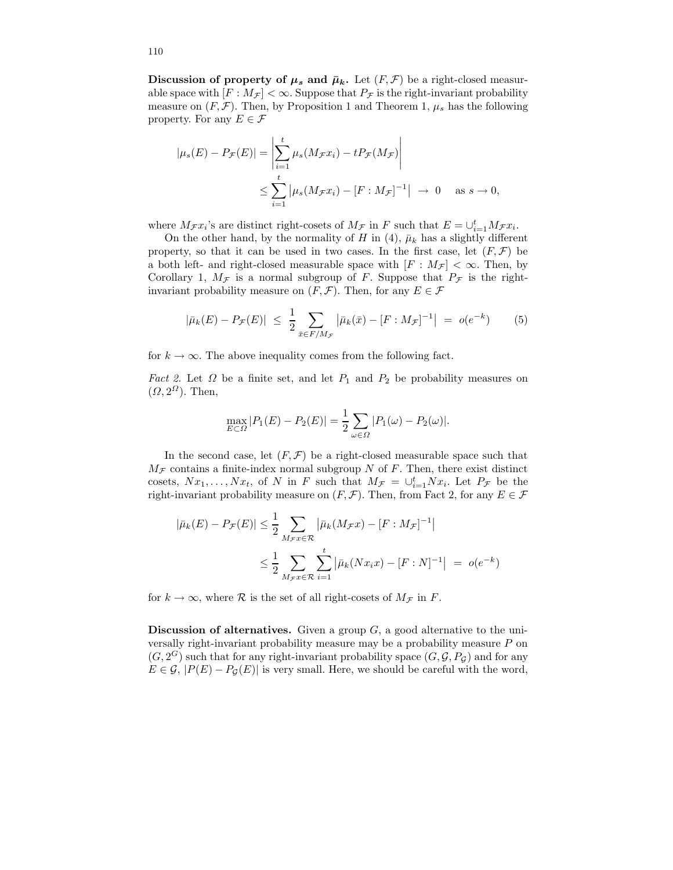Discussion of property of  $\mu_s$  and  $\bar{\mu}_k$ . Let  $(F, \mathcal{F})$  be a right-closed measurable space with  $[F : M_{\mathcal{F}}] < \infty$ . Suppose that  $P_{\mathcal{F}}$  is the right-invariant probability measure on  $(F, \mathcal{F})$ . Then, by Proposition 1 and Theorem 1,  $\mu_s$  has the following property. For any  $E \in \mathcal{F}$ 

$$
|\mu_s(E) - P_{\mathcal{F}}(E)| = \left| \sum_{i=1}^t \mu_s(M_{\mathcal{F}} x_i) - t P_{\mathcal{F}}(M_{\mathcal{F}}) \right|
$$
  

$$
\leq \sum_{i=1}^t |\mu_s(M_{\mathcal{F}} x_i) - [F : M_{\mathcal{F}}]^{-1}| \to 0 \quad \text{as } s \to 0,
$$

where  $M_{\mathcal{F}}x_i$ 's are distinct right-cosets of  $M_{\mathcal{F}}$  in F such that  $E = \cup_{i=1}^t M_{\mathcal{F}}x_i$ .

On the other hand, by the normality of H in (4),  $\bar{\mu}_k$  has a slightly different property, so that it can be used in two cases. In the first case, let  $(F, \mathcal{F})$  be a both left- and right-closed measurable space with  $[F : M_{\mathcal{F}}] < \infty$ . Then, by Corollary 1,  $M_F$  is a normal subgroup of F. Suppose that  $P_F$  is the rightinvariant probability measure on  $(F, \mathcal{F})$ . Then, for any  $E \in \mathcal{F}$ 

$$
|\bar{\mu}_k(E) - P_{\mathcal{F}}(E)| \le \frac{1}{2} \sum_{\bar{x} \in F/M_{\mathcal{F}}} |\bar{\mu}_k(\bar{x}) - [F : M_{\mathcal{F}}]^{-1}| = o(e^{-k}) \tag{5}
$$

for  $k \to \infty$ . The above inequality comes from the following fact.

*Fact 2.* Let  $\Omega$  be a finite set, and let  $P_1$  and  $P_2$  be probability measures on  $(\Omega, 2^{\Omega})$ . Then,

$$
\max_{E \subset \Omega} |P_1(E) - P_2(E)| = \frac{1}{2} \sum_{\omega \in \Omega} |P_1(\omega) - P_2(\omega)|.
$$

In the second case, let  $(F, \mathcal{F})$  be a right-closed measurable space such that  $M_{\mathcal{F}}$  contains a finite-index normal subgroup N of F. Then, there exist distinct cosets,  $Nx_1, \ldots, Nx_t$ , of N in F such that  $M_{\mathcal{F}} = \bigcup_{i=1}^t Nx_i$ . Let  $P_{\mathcal{F}}$  be the right-invariant probability measure on  $(F, \mathcal{F})$ . Then, from Fact 2, for any  $E \in \mathcal{F}$ 

$$
|\bar{\mu}_k(E) - P_{\mathcal{F}}(E)| \le \frac{1}{2} \sum_{M_{\mathcal{F}}: \mathcal{F} \in \mathcal{R}} |\bar{\mu}_k(M_{\mathcal{F}}x) - [F : M_{\mathcal{F}}]^{-1}|
$$
  

$$
\le \frac{1}{2} \sum_{M_{\mathcal{F}}: \mathcal{F} \in \mathcal{R}} \sum_{i=1}^t |\bar{\mu}_k(Nx_i x) - [F : N]^{-1}| = o(e^{-k})
$$

for  $k \to \infty$ , where  $\mathcal R$  is the set of all right-cosets of  $M_{\mathcal F}$  in  $F$ .

**Discussion of alternatives.** Given a group  $G$ , a good alternative to the universally right-invariant probability measure may be a probability measure P on  $(G, 2^G)$  such that for any right-invariant probability space  $(G, \mathcal{G}, P_{\mathcal{G}})$  and for any  $E \in \mathcal{G}, |P(E) - P_{\mathcal{G}}(E)|$  is very small. Here, we should be careful with the word,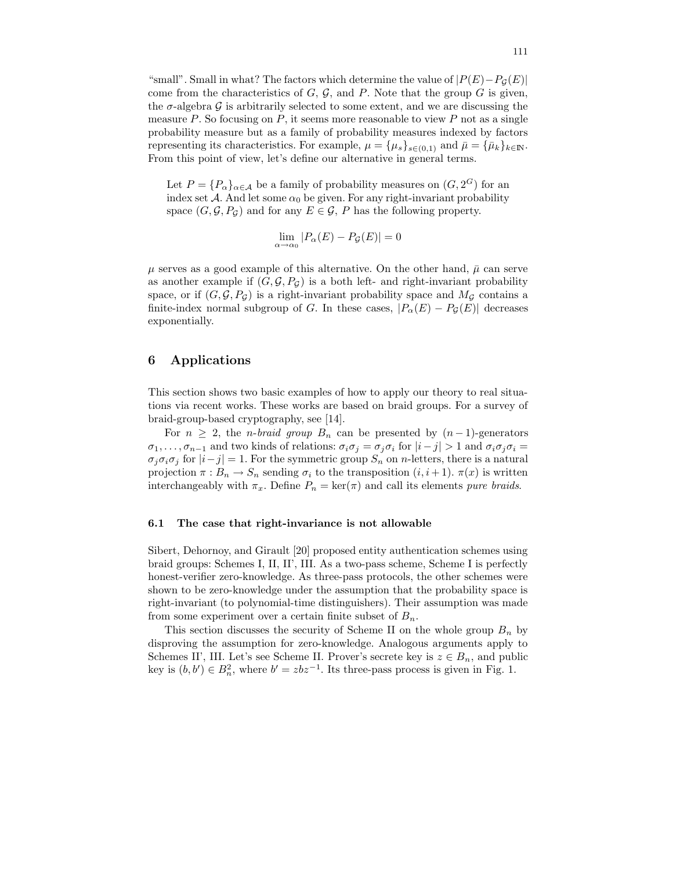"small". Small in what? The factors which determine the value of  $|P(E)-P_{\mathcal{G}}(E)|$ come from the characteristics of  $G, \mathcal{G}$ , and P. Note that the group G is given, the  $\sigma$ -algebra G is arbitrarily selected to some extent, and we are discussing the measure  $P$ . So focusing on  $P$ , it seems more reasonable to view  $P$  not as a single probability measure but as a family of probability measures indexed by factors representing its characteristics. For example,  $\mu = {\mu_s}_{s \in (0,1)}$  and  $\bar{\mu} = {\bar{\mu}_k}_{k \in \mathbb{N}}$ . From this point of view, let's define our alternative in general terms.

Let  $P = \{P_{\alpha}\}_{{\alpha \in \mathcal{A}}}$  be a family of probability measures on  $(G, 2^G)$  for an index set A. And let some  $\alpha_0$  be given. For any right-invariant probability space  $(G, \mathcal{G}, P_{\mathcal{G}})$  and for any  $E \in \mathcal{G}$ , P has the following property.

$$
\lim_{\alpha \to \alpha_0} |P_{\alpha}(E) - P_{\mathcal{G}}(E)| = 0
$$

 $\mu$  serves as a good example of this alternative. On the other hand,  $\bar{\mu}$  can serve as another example if  $(G, \mathcal{G}, P_G)$  is a both left- and right-invariant probability space, or if  $(G, \mathcal{G}, P_{\mathcal{G}})$  is a right-invariant probability space and  $M_{\mathcal{G}}$  contains a finite-index normal subgroup of G. In these cases,  $|P_{\alpha}(E) - P_{\mathcal{G}}(E)|$  decreases exponentially.

### 6 Applications

This section shows two basic examples of how to apply our theory to real situations via recent works. These works are based on braid groups. For a survey of braid-group-based cryptography, see [14].

For  $n \geq 2$ , the *n*-braid group  $B_n$  can be presented by  $(n-1)$ -generators  $\sigma_1, \ldots, \sigma_{n-1}$  and two kinds of relations:  $\sigma_i \sigma_j = \sigma_j \sigma_i$  for  $|i-j| > 1$  and  $\sigma_i \sigma_j \sigma_i =$  $\sigma_i \sigma_i \sigma_j$  for  $|i-j|=1$ . For the symmetric group  $S_n$  on *n*-letters, there is a natural projection  $\pi : B_n \to S_n$  sending  $\sigma_i$  to the transposition  $(i, i + 1)$ .  $\pi(x)$  is written interchangeably with  $\pi_x$ . Define  $P_n = \text{ker}(\pi)$  and call its elements *pure braids*.

#### 6.1 The case that right-invariance is not allowable

Sibert, Dehornoy, and Girault [20] proposed entity authentication schemes using braid groups: Schemes I, II, II', III. As a two-pass scheme, Scheme I is perfectly honest-verifier zero-knowledge. As three-pass protocols, the other schemes were shown to be zero-knowledge under the assumption that the probability space is right-invariant (to polynomial-time distinguishers). Their assumption was made from some experiment over a certain finite subset of  $B_n$ .

This section discusses the security of Scheme II on the whole group  $B_n$  by disproving the assumption for zero-knowledge. Analogous arguments apply to Schemes II', III. Let's see Scheme II. Prover's secrete key is  $z \in B_n$ , and public key is  $(b, b') \in B_n^2$ , where  $b' = zbz^{-1}$ . Its three-pass process is given in Fig. 1.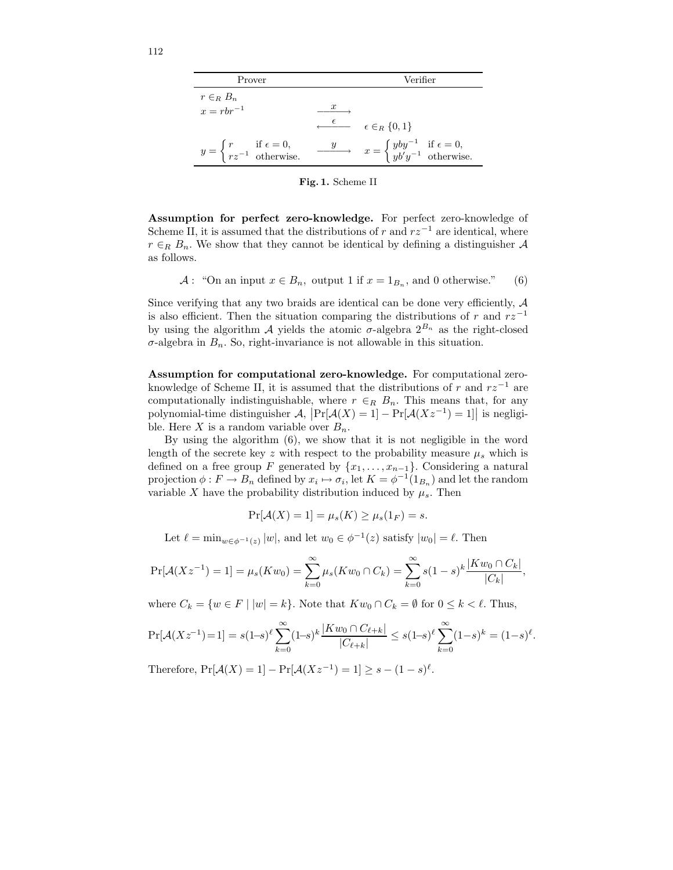| Prover                                                                                      | Verifier                                                                                                           |
|---------------------------------------------------------------------------------------------|--------------------------------------------------------------------------------------------------------------------|
| $r \in_R B_n$                                                                               |                                                                                                                    |
| $x = rbr^{-1}$                                                                              | $\boldsymbol{x}$                                                                                                   |
|                                                                                             | $\stackrel{\epsilon}{\longleftarrow}$ $\epsilon \in_R \{0,1\}$                                                     |
| $y = \begin{cases} r & \text{if } \epsilon = 0, \\ rz^{-1} & \text{otherwise.} \end{cases}$ | $\frac{y}{y}$ $x = \begin{cases} yby^{-1} & \text{if } \epsilon = 0, \\ yb'y^{-1} & \text{otherwise.} \end{cases}$ |

Fig. 1. Scheme II

Assumption for perfect zero-knowledge. For perfect zero-knowledge of Scheme II, it is assumed that the distributions of r and  $rz^{-1}$  are identical, where  $r \in_R B_n$ . We show that they cannot be identical by defining a distinguisher A as follows.

 $A:$  "On an input  $x \in B_n$ , output 1 if  $x = 1_{B_n}$ , and 0 otherwise." (6)

Since verifying that any two braids are identical can be done very efficiently,  $A$ is also efficient. Then the situation comparing the distributions of r and  $rz^{-1}$ by using the algorithm A yields the atomic  $\sigma$ -algebra  $2^{B_n}$  as the right-closed  $\sigma$ -algebra in  $B_n$ . So, right-invariance is not allowable in this situation.

Assumption for computational zero-knowledge. For computational zeroknowledge of Scheme II, it is assumed that the distributions of r and  $rz^{-1}$  are computationally indistinguishable, where  $r \in_R B_n$ . This means that, for any polynomial-time distinguisher  $\mathcal{A}$ ,  $\left| \Pr[\mathcal{A}(X) = 1] - \Pr[\mathcal{A}(Xz^{-1}) = 1] \right|$  is negligible. Here X is a random variable over  $B_n$ .

By using the algorithm (6), we show that it is not negligible in the word length of the secrete key z with respect to the probability measure  $\mu_s$  which is defined on a free group F generated by  $\{x_1, \ldots, x_{n-1}\}$ . Considering a natural projection  $\phi: F \to B_n$  defined by  $x_i \mapsto \sigma_i$ , let  $K = \phi^{-1}(1_{B_n})$  and let the random variable X have the probability distribution induced by  $\mu_s$ . Then

$$
\Pr[\mathcal{A}(X) = 1] = \mu_s(K) \ge \mu_s(1_F) = s.
$$

Let  $\ell = \min_{w \in \phi^{-1}(z)} |w|$ , and let  $w_0 \in \phi^{-1}(z)$  satisfy  $|w_0| = \ell$ . Then

$$
\Pr[\mathcal{A}(Xz^{-1})=1] = \mu_s(Kw_0) = \sum_{k=0}^{\infty} \mu_s(Kw_0 \cap C_k) = \sum_{k=0}^{\infty} s(1-s)^k \frac{|Kw_0 \cap C_k|}{|C_k|},
$$

where  $C_k = \{w \in F \mid |w| = k\}$ . Note that  $Kw_0 \cap C_k = \emptyset$  for  $0 \le k < \ell$ . Thus,

$$
\Pr[\mathcal{A}(Xz^{-1})=1] = s(1-s)^{\ell} \sum_{k=0}^{\infty} (1-s)^k \frac{|Kw_0 \cap C_{\ell+k}|}{|C_{\ell+k}|} \le s(1-s)^{\ell} \sum_{k=0}^{\infty} (1-s)^k = (1-s)^{\ell}.
$$

Therefore,  $Pr[\mathcal{A}(X) = 1] - Pr[\mathcal{A}(Xz^{-1}) = 1] \ge s - (1 - s)^{\ell}$ .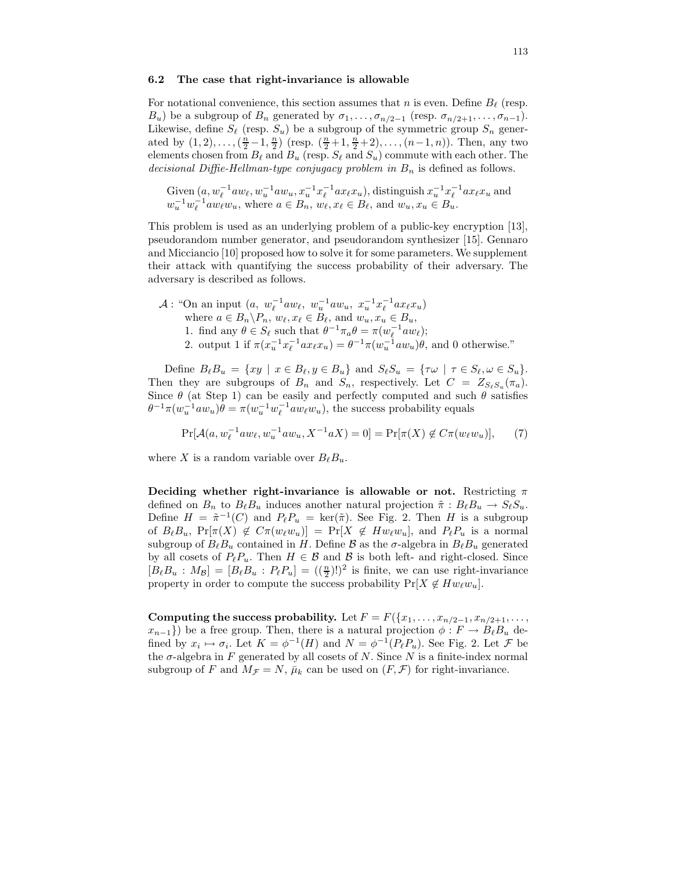#### 6.2 The case that right-invariance is allowable

For notational convenience, this section assumes that n is even. Define  $B_\ell$  (resp.  $B_u$ ) be a subgroup of  $B_n$  generated by  $\sigma_1, \ldots, \sigma_{n/2-1}$  (resp.  $\sigma_{n/2+1}, \ldots, \sigma_{n-1}$ ). Likewise, define  $S_\ell$  (resp.  $S_u$ ) be a subgroup of the symmetric group  $S_n$  generated by  $(1, 2), \ldots, (\frac{n}{2} - 1, \frac{n}{2})$  (resp.  $(\frac{n}{2} + 1, \frac{n}{2} + 2), \ldots, (n - 1, n)$ ). Then, any two elements chosen from  $B_\ell$  and  $B_u$  (resp.  $S_\ell$  and  $S_u$ ) commute with each other. The decisional Diffie-Hellman-type conjugacy problem in  $B_n$  is defined as follows.

Given  $(a, w_\ell^{-1}aw_\ell, w_u^{-1}aw_u, x_u^{-1}x_\ell^{-1}ax_\ell x_u)$ , distinguish  $x_u^{-1}x_\ell^{-1}ax_\ell x_u$  and  $w_u^{-1}w_\ell^{-1}aw_\ell w_u$ , where  $a \in B_n$ ,  $w_\ell, x_\ell \in B_\ell$ , and  $w_u, x_u \in B_u$ .

This problem is used as an underlying problem of a public-key encryption [13], pseudorandom number generator, and pseudorandom synthesizer [15]. Gennaro and Micciancio [10] proposed how to solve it for some parameters. We supplement their attack with quantifying the success probability of their adversary. The adversary is described as follows.

$$
\mathcal{A}: \text{ ``On an input } (a, w_{\ell}^{-1}aw_{\ell}, w_{u}^{-1}aw_{u}, x_{u}^{-1}x_{\ell}^{-1}ax_{\ell}x_{u})
$$
\nwhere  $a \in B_n \setminus P_n$ ,  $w_{\ell}, x_{\ell} \in B_{\ell}$ , and  $w_u, x_u \in B_u$ ,  
\n1. find any  $\theta \in S_{\ell}$  such that  $\theta^{-1}\pi_a\theta = \pi(w_{\ell}^{-1}aw_{\ell})$ ;  
\n2. output 1 if  $\pi(x_{u}^{-1}x_{\ell}^{-1}ax_{\ell}x_{u}) = \theta^{-1}\pi(w_{u}^{-1}aw_{u})\theta$ , and 0 otherwise."

Define  $B_\ell B_u = \{xy \mid x \in B_\ell, y \in B_u\}$  and  $S_\ell S_u = \{\tau \omega \mid \tau \in S_\ell, \omega \in S_u\}.$ Then they are subgroups of  $B_n$  and  $S_n$ , respectively. Let  $C = Z_{S_\ell S_u}(\pi_a)$ . Since  $\theta$  (at Step 1) can be easily and perfectly computed and such  $\theta$  satisfies  $\theta^{-1}\pi(w_u^{-1}aw_u)\theta = \pi(w_u^{-1}w_\ell^{-1}aw_\ell w_u)$ , the success probability equals

 $Pr[\mathcal{A}(a, w_{\ell}^{-1}aw_{\ell}, w_{u}^{-1}aw_{u}, X^{-1}aX) = 0] = Pr[\pi(X) \notin C\pi(w_{\ell}w_{u})],$  (7)

where X is a random variable over  $B_{\ell}B_{u}$ .

Deciding whether right-invariance is allowable or not. Restricting  $\pi$ defined on  $B_n$  to  $B_\ell B_u$  induces another natural projection  $\tilde{\pi}: B_\ell B_u \to S_\ell S_u$ . Define  $H = \tilde{\pi}^{-1}(C)$  and  $P_{\ell}P_u = \text{ker}(\tilde{\pi})$ . See Fig. 2. Then H is a subgroup of  $B_{\ell}B_u$ ,  $Pr[\pi(X) \notin C\pi(w_{\ell}w_u)] = Pr[X \notin Hw_{\ell}w_u]$ , and  $P_{\ell}P_u$  is a normal subgroup of  $B_\ell B_u$  contained in H. Define  $\mathcal B$  as the  $\sigma$ -algebra in  $B_\ell B_u$  generated by all cosets of  $P_\ell P_u$ . Then  $H \in \mathcal{B}$  and  $\mathcal{B}$  is both left- and right-closed. Since  $[B_\ell B_u : M_{\mathcal{B}}] = [B_\ell B_u : P_\ell P_u] = ((\frac{n}{2})!)^2$  is finite, we can use right-invariance property in order to compute the success probability  $Pr[X \notin Hw_{\ell}w_u].$ 

Computing the success probability. Let  $F = F({x_1, \ldots, x_{n/2-1}, x_{n/2+1}, \ldots, x_{n/2}})$  $x_{n-1}$ ) be a free group. Then, there is a natural projection  $\phi : F \to B_{\ell}B_u$  defined by  $x_i \mapsto \sigma_i$ . Let  $K = \phi^{-1}(H)$  and  $N = \phi^{-1}(P_{\ell}P_{u})$ . See Fig. 2. Let  $\mathcal F$  be the  $\sigma$ -algebra in F generated by all cosets of N. Since N is a finite-index normal subgroup of F and  $M_{\mathcal{F}} = N$ ,  $\bar{\mu}_k$  can be used on  $(F, \mathcal{F})$  for right-invariance.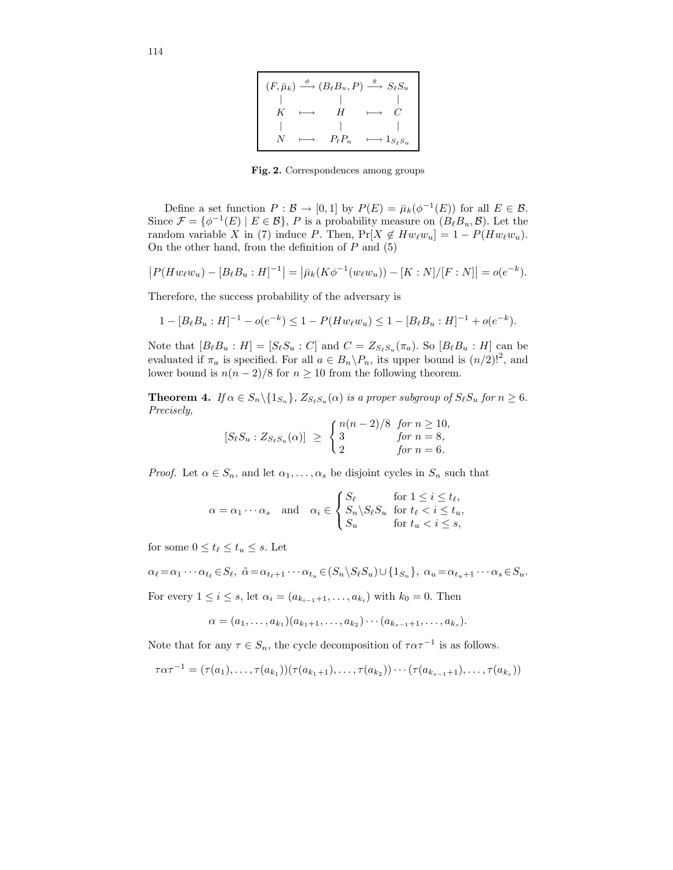| $(F, \bar{\mu}_k) \stackrel{\phi}{\longrightarrow} (B_\ell B_u, P) \stackrel{\tilde{\pi}}{\longrightarrow} S_\ell S_u$ |  |               |                              |  |  |
|------------------------------------------------------------------------------------------------------------------------|--|---------------|------------------------------|--|--|
|                                                                                                                        |  |               |                              |  |  |
|                                                                                                                        |  | H             |                              |  |  |
|                                                                                                                        |  |               |                              |  |  |
|                                                                                                                        |  | $P_{\ell}P_u$ | $\longmapsto 1_{S_\ell S_u}$ |  |  |

Fig. 2. Correspondences among groups

Define a set function  $P : \mathcal{B} \to [0,1]$  by  $P(E) = \bar{\mu}_k(\phi^{-1}(E))$  for all  $E \in \mathcal{B}$ . Since  $\mathcal{F} = \{ \phi^{-1}(E) \mid E \in \mathcal{B} \}, P$  is a probability measure on  $(B_{\ell}B_u, \mathcal{B})$ . Let the random variable X in (7) induce P. Then,  $Pr[X \notin Hw_{\ell}w_u] = 1 - P(Hw_{\ell}w_u)$ . On the other hand, from the definition of  $P$  and  $(5)$ 

$$
|P(Hw_{\ell}w_u) - [B_{\ell}B_u : H]^{-1}| = |\bar{\mu}_k(K\phi^{-1}(w_{\ell}w_u)) - [K : N]/[F : N]| = o(e^{-k}).
$$

Therefore, the success probability of the adversary is

$$
1 - [B_{\ell}B_u : H]^{-1} - o(e^{-k}) \le 1 - P(Hw_{\ell}w_u) \le 1 - [B_{\ell}B_u : H]^{-1} + o(e^{-k}).
$$

Note that  $[B_\ell B_u : H] = [S_\ell S_u : C]$  and  $C = Z_{S_\ell S_u}(\pi_a)$ . So  $[B_\ell B_u : H]$  can be evaluated if  $\pi_a$  is specified. For all  $a \in B_n \backslash P_n$ , its upper bound is  $(n/2)!^2$ , and lower bound is  $n(n-2)/8$  for  $n \ge 10$  from the following theorem.

**Theorem 4.** If  $\alpha \in S_n \setminus \{1_{S_n}\}, Z_{S_\ell S_u}(\alpha)$  is a proper subgroup of  $S_\ell S_u$  for  $n \geq 6$ . Precisely,

$$
[S_{\ell}S_u : Z_{S_{\ell}S_u}(\alpha)] \geq \begin{cases} n(n-2)/8 & \text{for } n \geq 10, \\ 3 & \text{for } n = 8, \\ 2 & \text{for } n = 6. \end{cases}
$$

*Proof.* Let  $\alpha \in S_n$ , and let  $\alpha_1, \ldots, \alpha_s$  be disjoint cycles in  $S_n$  such that

$$
\alpha = \alpha_1 \cdots \alpha_s \quad \text{and} \quad \alpha_i \in \begin{cases} S_\ell & \text{for } 1 \le i \le t_\ell, \\ S_n \setminus S_\ell S_u & \text{for } t_\ell < i \le t_u, \\ S_u & \text{for } t_u < i \le s, \end{cases}
$$

for some  $0 \leq t_{\ell} \leq t_u \leq s$ . Let

 $\alpha_{\ell} = \alpha_1 \cdots \alpha_{t_{\ell}} \in S_{\ell}, \ \tilde{\alpha} = \alpha_{t_{\ell}+1} \cdots \alpha_{t_n} \in (S_n \backslash S_{\ell} S_u) \cup \{1_{S_n}\}, \ \alpha_u = \alpha_{t_u+1} \cdots \alpha_s \in S_u.$ 

For every  $1 \leq i \leq s$ , let  $\alpha_i = (a_{k_{i-1}+1}, \ldots, a_{k_i})$  with  $k_0 = 0$ . Then

$$
\alpha = (a_1, \ldots, a_{k_1})(a_{k_1+1}, \ldots, a_{k_2}) \cdots (a_{k_{s-1}+1}, \ldots, a_{k_s}).
$$

Note that for any  $\tau \in S_n$ , the cycle decomposition of  $\tau \alpha \tau^{-1}$  is as follows.

$$
\tau\alpha\tau^{-1} = (\tau(a_1), \ldots, \tau(a_{k_1}))(\tau(a_{k_1+1}), \ldots, \tau(a_{k_2})) \cdots (\tau(a_{k_{s-1}+1}), \ldots, \tau(a_{k_s}))
$$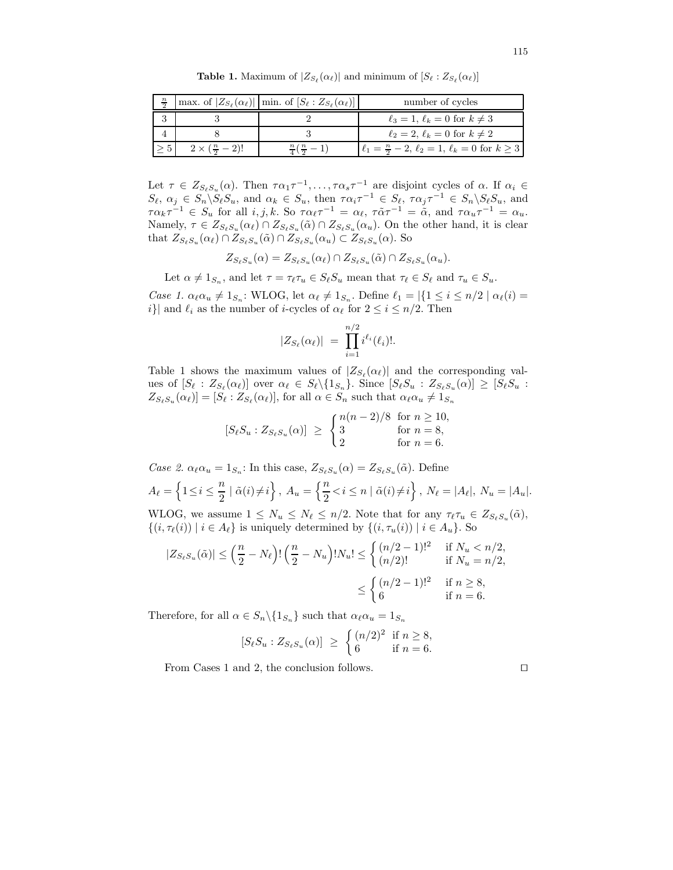| $\frac{n}{2}$ |                               | max. of $ Z_{S_{\ell}}(\alpha_{\ell}) $   min. of $[S_{\ell}:Z_{S_{\ell}}(\alpha_{\ell})]$ | number of cycles                                                  |
|---------------|-------------------------------|--------------------------------------------------------------------------------------------|-------------------------------------------------------------------|
|               |                               |                                                                                            | $\ell_3 = 1, \ell_k = 0$ for $k \neq 3$                           |
|               |                               |                                                                                            | $\ell_2=2, \ell_k=0$ for $k\neq 2$                                |
|               | $2 \times (\frac{n}{2} - 2)!$ | $\frac{n}{4}(\frac{n}{2}-1)$                                                               | $\ell_1 = \frac{n}{2} - 2, \ell_2 = 1, \ell_k = 0$ for $k \geq 3$ |

**Table 1.** Maximum of  $|Z_{S_{\ell}}(\alpha_{\ell})|$  and minimum of  $[S_{\ell} : Z_{S_{\ell}}(\alpha_{\ell})]$ 

Let  $\tau \in Z_{S_{\ell}S_u}(\alpha)$ . Then  $\tau \alpha_1 \tau^{-1}, \ldots, \tau \alpha_s \tau^{-1}$  are disjoint cycles of  $\alpha$ . If  $\alpha_i \in$  $S_{\ell}, \alpha_j \in S_n \backslash S_{\ell} S_u$ , and  $\alpha_k \in S_u$ , then  $\tau \alpha_i \tau^{-1} \in S_{\ell}, \tau \alpha_j \tau^{-1} \in S_n \backslash S_{\ell} S_u$ , and  $\tau \alpha_k \tau^{-1} \in S_u$  for all  $i, j, k$ . So  $\tau \alpha_\ell \tau^{-1} = \alpha_\ell, \ \tau \tilde{\alpha} \tau^{-1} = \tilde{\alpha}, \text{ and } \tau \alpha_u \tau^{-1} = \alpha_u$ . Namely,  $\tau \in Z_{S_{\ell}S_u}(\alpha_{\ell}) \cap Z_{S_{\ell}S_u}(\tilde{\alpha}) \cap Z_{S_{\ell}S_u}(\alpha_u)$ . On the other hand, it is clear that  $Z_{S_{\ell}S_u}(\alpha_{\ell}) \cap Z_{S_{\ell}S_u}(\tilde{\alpha}) \cap Z_{S_{\ell}S_u}(\alpha_u) \subset Z_{S_{\ell}S_u}(\alpha)$ . So

$$
Z_{S_{\ell}S_u}(\alpha) = Z_{S_{\ell}S_u}(\alpha_{\ell}) \cap Z_{S_{\ell}S_u}(\tilde{\alpha}) \cap Z_{S_{\ell}S_u}(\alpha_u).
$$

Let  $\alpha \neq 1_{S_n}$ , and let  $\tau = \tau_\ell \tau_u \in S_\ell S_u$  mean that  $\tau_\ell \in S_\ell$  and  $\tau_u \in S_u$ .

Case 1.  $\alpha_\ell \alpha_u \neq 1_{S_n}$ : WLOG, let  $\alpha_\ell \neq 1_{S_n}$ . Define  $\ell_1 = |\{1 \leq i \leq n/2 \mid \alpha_\ell(i) =$ i}| and  $\ell_i$  as the number of *i*-cycles of  $\alpha_\ell$  for  $2 \leq i \leq n/2$ . Then

$$
|Z_{S_{\ell}}(\alpha_{\ell})| = \prod_{i=1}^{n/2} i^{\ell_i}(\ell_i)!.
$$

Table 1 shows the maximum values of  $|Z_{S_{\ell}}(\alpha_{\ell})|$  and the corresponding values of  $[S_\ell : Z_{S_\ell}(\alpha_\ell)]$  over  $\alpha_\ell \in S_\ell \setminus \{1_{S_n}\}$ . Since  $[S_\ell S_u : Z_{S_\ell S_u}(\alpha)] \geq [S_\ell S_u :$  $Z_{S_{\ell}S_u}(\alpha_{\ell})] = [S_{\ell} : Z_{S_{\ell}}(\alpha_{\ell})],$  for all  $\alpha \in S_n$  such that  $\alpha_{\ell} \alpha_u \neq 1_{S_n}$ 

$$
[S_{\ell}S_u : Z_{S_{\ell}S_u}(\alpha)] \geq \begin{cases} n(n-2)/8 & \text{for } n \geq 10, \\ 3 & \text{for } n = 8, \\ 2 & \text{for } n = 6. \end{cases}
$$

Case 2.  $\alpha_{\ell} \alpha_u = 1_{S_n}$ : In this case,  $Z_{S_{\ell} S_u}(\alpha) = Z_{S_{\ell} S_u}(\tilde{\alpha})$ . Define  $A_{\ell} = \left\{1 \leq i \leq \frac{n}{2}\right\}$  $\frac{n}{2} \mid \tilde{\alpha}(i) \neq i \bigg\}$ ,  $A_u = \left\{ \frac{n}{2} \right\}$  $\frac{n}{2} < i \leq n \mid \tilde{\alpha}(i) \neq i$ ,  $N_{\ell} = |A_{\ell}|, N_{u} = |A_{u}|.$ WLOG, we assume  $1 \leq N_u \leq N_\ell \leq n/2$ . Note that for any  $\tau_\ell \tau_u \in Z_{S_\ell S_u}(\tilde{\alpha}),$  $\{(i, \tau_{\ell}(i)) | i \in A_{\ell}\}\$ is uniquely determined by  $\{(i, \tau_u(i)) | i \in A_u\}$ . So

$$
|Z_{S_{\ell}S_u}(\tilde{\alpha})| \le \left(\frac{n}{2} - N_{\ell}\right)! \left(\frac{n}{2} - N_u\right)! N_u! \le \begin{cases} (n/2 - 1)!^2 & \text{if } N_u < n/2, \\ (n/2)! & \text{if } N_u = n/2, \end{cases}
$$
  

$$
\le \begin{cases} (n/2 - 1)!^2 & \text{if } n \ge 8, \\ 6 & \text{if } n = 6. \end{cases}
$$

Therefore, for all  $\alpha \in S_n \backslash \{1_{S_n}\}\$  such that  $\alpha_\ell \alpha_u = 1_{S_n}$ 

$$
[S_{\ell}S_u : Z_{S_{\ell}S_u}(\alpha)] \geq \begin{cases} (n/2)^2 & \text{if } n \geq 8, \\ 6 & \text{if } n = 6. \end{cases}
$$

From Cases 1 and 2, the conclusion follows.  $\square$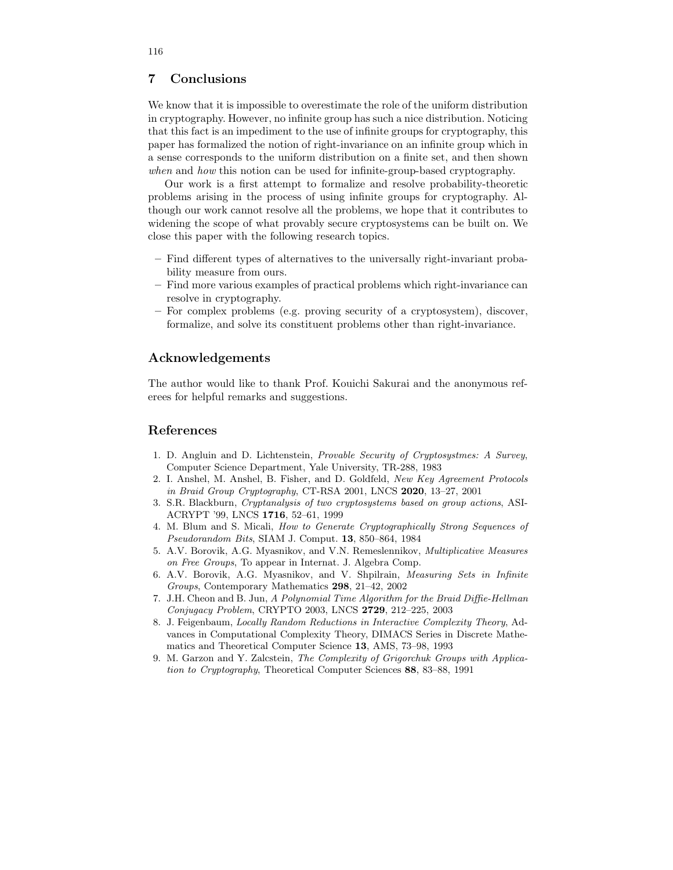# 7 Conclusions

We know that it is impossible to overestimate the role of the uniform distribution in cryptography. However, no infinite group has such a nice distribution. Noticing that this fact is an impediment to the use of infinite groups for cryptography, this paper has formalized the notion of right-invariance on an infinite group which in a sense corresponds to the uniform distribution on a finite set, and then shown when and how this notion can be used for infinite-group-based cryptography.

Our work is a first attempt to formalize and resolve probability-theoretic problems arising in the process of using infinite groups for cryptography. Although our work cannot resolve all the problems, we hope that it contributes to widening the scope of what provably secure cryptosystems can be built on. We close this paper with the following research topics.

- Find different types of alternatives to the universally right-invariant probability measure from ours.
- Find more various examples of practical problems which right-invariance can resolve in cryptography.
- For complex problems (e.g. proving security of a cryptosystem), discover, formalize, and solve its constituent problems other than right-invariance.

### Acknowledgements

The author would like to thank Prof. Kouichi Sakurai and the anonymous referees for helpful remarks and suggestions.

### References

- 1. D. Angluin and D. Lichtenstein, Provable Security of Cryptosystmes: A Survey, Computer Science Department, Yale University, TR-288, 1983
- 2. I. Anshel, M. Anshel, B. Fisher, and D. Goldfeld, New Key Agreement Protocols in Braid Group Cryptography, CT-RSA 2001, LNCS 2020, 13–27, 2001
- 3. S.R. Blackburn, Cryptanalysis of two cryptosystems based on group actions, ASI-ACRYPT '99, LNCS 1716, 52–61, 1999
- 4. M. Blum and S. Micali, How to Generate Cryptographically Strong Sequences of Pseudorandom Bits, SIAM J. Comput. 13, 850–864, 1984
- 5. A.V. Borovik, A.G. Myasnikov, and V.N. Remeslennikov, Multiplicative Measures on Free Groups, To appear in Internat. J. Algebra Comp.
- 6. A.V. Borovik, A.G. Myasnikov, and V. Shpilrain, Measuring Sets in Infinite Groups, Contemporary Mathematics 298, 21–42, 2002
- 7. J.H. Cheon and B. Jun, A Polynomial Time Algorithm for the Braid Diffie-Hellman Conjugacy Problem, CRYPTO 2003, LNCS 2729, 212–225, 2003
- 8. J. Feigenbaum, Locally Random Reductions in Interactive Complexity Theory, Advances in Computational Complexity Theory, DIMACS Series in Discrete Mathematics and Theoretical Computer Science 13, AMS, 73–98, 1993
- 9. M. Garzon and Y. Zalcstein, The Complexity of Grigorchuk Groups with Application to Cryptography, Theoretical Computer Sciences 88, 83–88, 1991